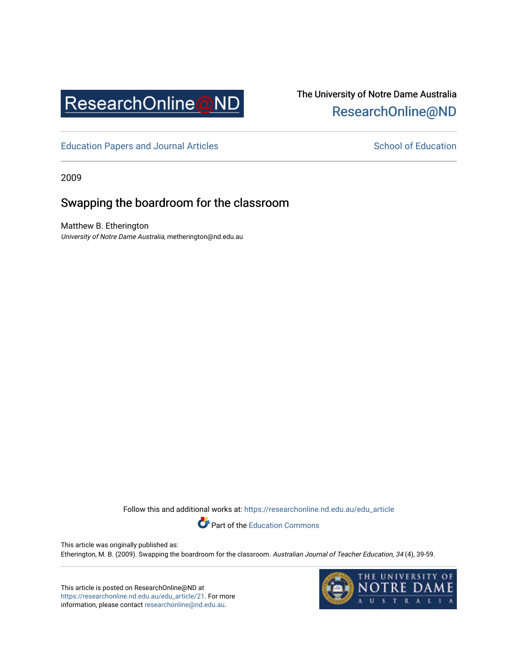

# The University of Notre Dame Australia [ResearchOnline@ND](https://researchonline.nd.edu.au/)

[Education Papers and Journal Articles](https://researchonline.nd.edu.au/edu_article) [School of Education](https://researchonline.nd.edu.au/edu) School of Education

2009

## Swapping the boardroom for the classroom

Matthew B. Etherington University of Notre Dame Australia, metherington@nd.edu.au

Follow this and additional works at: [https://researchonline.nd.edu.au/edu\\_article](https://researchonline.nd.edu.au/edu_article?utm_source=researchonline.nd.edu.au%2Fedu_article%2F21&utm_medium=PDF&utm_campaign=PDFCoverPages)

Part of the [Education Commons](http://network.bepress.com/hgg/discipline/784?utm_source=researchonline.nd.edu.au%2Fedu_article%2F21&utm_medium=PDF&utm_campaign=PDFCoverPages) 

This article was originally published as: Etherington, M. B. (2009). Swapping the boardroom for the classroom. Australian Journal of Teacher Education, 34 (4), 39-59.

This article is posted on ResearchOnline@ND at [https://researchonline.nd.edu.au/edu\\_article/21.](https://researchonline.nd.edu.au/edu_article/21) For more information, please contact [researchonline@nd.edu.au.](mailto:researchonline@nd.edu.au)

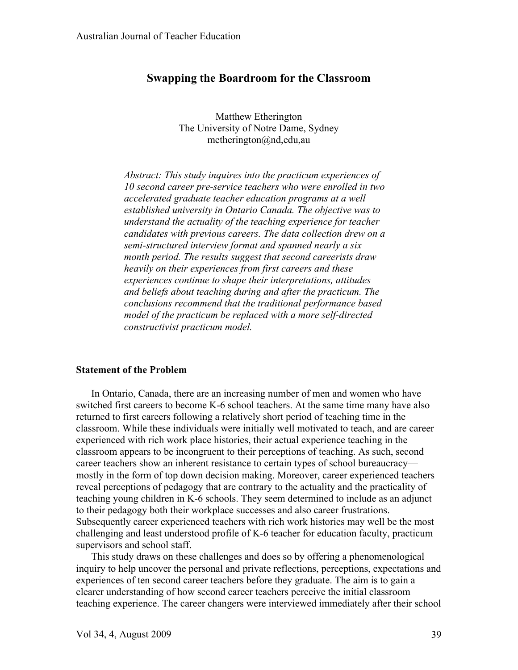## **Swapping the Boardroom for the Classroom**

Matthew Etherington The University of Notre Dame, Sydney metherington@nd,edu,au

*Abstract: This study inquires into the practicum experiences of 10 second career pre-service teachers who were enrolled in two accelerated graduate teacher education programs at a well established university in Ontario Canada. The objective was to understand the actuality of the teaching experience for teacher candidates with previous careers. The data collection drew on a semi-structured interview format and spanned nearly a six month period. The results suggest that second careerists draw heavily on their experiences from first careers and these experiences continue to shape their interpretations, attitudes and beliefs about teaching during and after the practicum. The conclusions recommend that the traditional performance based model of the practicum be replaced with a more self-directed constructivist practicum model.*

#### **Statement of the Problem**

In Ontario, Canada, there are an increasing number of men and women who have switched first careers to become K-6 school teachers. At the same time many have also returned to first careers following a relatively short period of teaching time in the classroom. While these individuals were initially well motivated to teach, and are career experienced with rich work place histories, their actual experience teaching in the classroom appears to be incongruent to their perceptions of teaching. As such, second career teachers show an inherent resistance to certain types of school bureaucracy mostly in the form of top down decision making. Moreover, career experienced teachers reveal perceptions of pedagogy that are contrary to the actuality and the practicality of teaching young children in K-6 schools. They seem determined to include as an adjunct to their pedagogy both their workplace successes and also career frustrations. Subsequently career experienced teachers with rich work histories may well be the most challenging and least understood profile of K-6 teacher for education faculty, practicum supervisors and school staff.

This study draws on these challenges and does so by offering a phenomenological inquiry to help uncover the personal and private reflections, perceptions, expectations and experiences of ten second career teachers before they graduate. The aim is to gain a clearer understanding of how second career teachers perceive the initial classroom teaching experience. The career changers were interviewed immediately after their school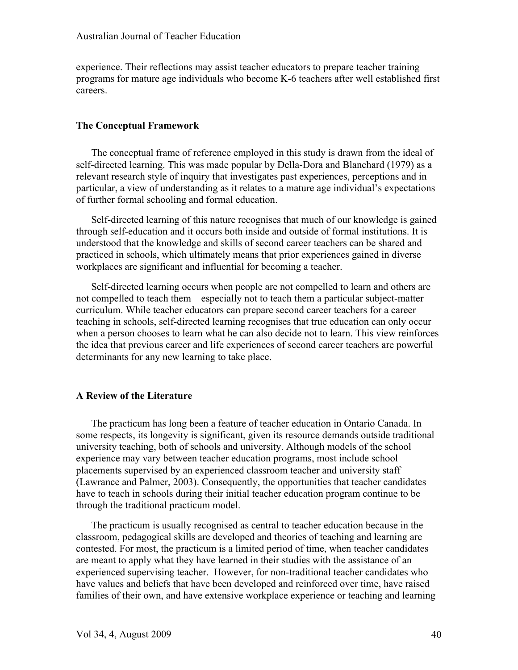experience. Their reflections may assist teacher educators to prepare teacher training programs for mature age individuals who become K-6 teachers after well established first careers.

### **The Conceptual Framework**

The conceptual frame of reference employed in this study is drawn from the ideal of self-directed learning. This was made popular by Della-Dora and Blanchard (1979) as a relevant research style of inquiry that investigates past experiences, perceptions and in particular, a view of understanding as it relates to a mature age individual's expectations of further formal schooling and formal education.

Self-directed learning of this nature recognises that much of our knowledge is gained through self-education and it occurs both inside and outside of formal institutions. It is understood that the knowledge and skills of second career teachers can be shared and practiced in schools, which ultimately means that prior experiences gained in diverse workplaces are significant and influential for becoming a teacher.

Self-directed learning occurs when people are not compelled to learn and others are not compelled to teach them—especially not to teach them a particular subject-matter curriculum. While teacher educators can prepare second career teachers for a career teaching in schools, self-directed learning recognises that true education can only occur when a person chooses to learn what he can also decide not to learn. This view reinforces the idea that previous career and life experiences of second career teachers are powerful determinants for any new learning to take place.

## **A Review of the Literature**

The practicum has long been a feature of teacher education in Ontario Canada. In some respects, its longevity is significant, given its resource demands outside traditional university teaching, both of schools and university. Although models of the school experience may vary between teacher education programs, most include school placements supervised by an experienced classroom teacher and university staff (Lawrance and Palmer, 2003). Consequently, the opportunities that teacher candidates have to teach in schools during their initial teacher education program continue to be through the traditional practicum model.

The practicum is usually recognised as central to teacher education because in the classroom, pedagogical skills are developed and theories of teaching and learning are contested. For most, the practicum is a limited period of time, when teacher candidates are meant to apply what they have learned in their studies with the assistance of an experienced supervising teacher. However, for non-traditional teacher candidates who have values and beliefs that have been developed and reinforced over time, have raised families of their own, and have extensive workplace experience or teaching and learning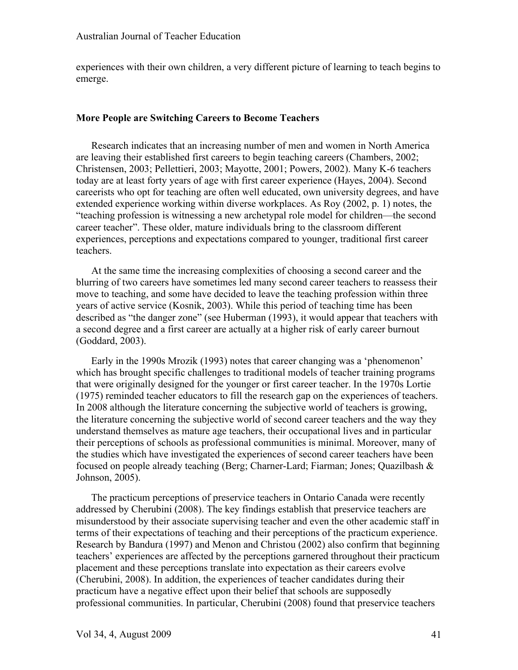experiences with their own children, a very different picture of learning to teach begins to emerge.

#### **More People are Switching Careers to Become Teachers**

Research indicates that an increasing number of men and women in North America are leaving their established first careers to begin teaching careers (Chambers, 2002; Christensen, 2003; Pellettieri, 2003; Mayotte, 2001; Powers, 2002). Many K-6 teachers today are at least forty years of age with first career experience (Hayes, 2004). Second careerists who opt for teaching are often well educated, own university degrees, and have extended experience working within diverse workplaces. As Roy (2002, p. 1) notes, the "teaching profession is witnessing a new archetypal role model for children—the second career teacher". These older, mature individuals bring to the classroom different experiences, perceptions and expectations compared to younger, traditional first career teachers.

At the same time the increasing complexities of choosing a second career and the blurring of two careers have sometimes led many second career teachers to reassess their move to teaching, and some have decided to leave the teaching profession within three years of active service (Kosnik, 2003). While this period of teaching time has been described as "the danger zone" (see Huberman (1993), it would appear that teachers with a second degree and a first career are actually at a higher risk of early career burnout (Goddard, 2003).

Early in the 1990s Mrozik (1993) notes that career changing was a 'phenomenon' which has brought specific challenges to traditional models of teacher training programs that were originally designed for the younger or first career teacher. In the 1970s Lortie (1975) reminded teacher educators to fill the research gap on the experiences of teachers. In 2008 although the literature concerning the subjective world of teachers is growing, the literature concerning the subjective world of second career teachers and the way they understand themselves as mature age teachers, their occupational lives and in particular their perceptions of schools as professional communities is minimal. Moreover, many of the studies which have investigated the experiences of second career teachers have been focused on people already teaching (Berg; Charner-Lard; Fiarman; Jones; Quazilbash & Johnson, 2005).

The practicum perceptions of preservice teachers in Ontario Canada were recently addressed by Cherubini (2008). The key findings establish that preservice teachers are misunderstood by their associate supervising teacher and even the other academic staff in terms of their expectations of teaching and their perceptions of the practicum experience. Research by Bandura (1997) and Menon and Christou (2002) also confirm that beginning teachers' experiences are affected by the perceptions garnered throughout their practicum placement and these perceptions translate into expectation as their careers evolve (Cherubini, 2008). In addition, the experiences of teacher candidates during their practicum have a negative effect upon their belief that schools are supposedly professional communities. In particular, Cherubini (2008) found that preservice teachers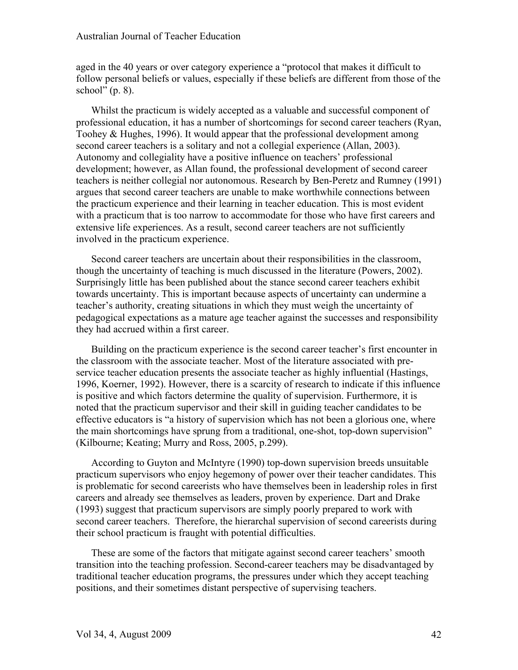aged in the 40 years or over category experience a "protocol that makes it difficult to follow personal beliefs or values, especially if these beliefs are different from those of the school"  $(p. 8)$ .

Whilst the practicum is widely accepted as a valuable and successful component of professional education, it has a number of shortcomings for second career teachers (Ryan, Toohey & Hughes, 1996). It would appear that the professional development among second career teachers is a solitary and not a collegial experience (Allan, 2003). Autonomy and collegiality have a positive influence on teachers' professional development; however, as Allan found, the professional development of second career teachers is neither collegial nor autonomous. Research by Ben-Peretz and Rumney (1991) argues that second career teachers are unable to make worthwhile connections between the practicum experience and their learning in teacher education. This is most evident with a practicum that is too narrow to accommodate for those who have first careers and extensive life experiences. As a result, second career teachers are not sufficiently involved in the practicum experience.

Second career teachers are uncertain about their responsibilities in the classroom, though the uncertainty of teaching is much discussed in the literature (Powers, 2002). Surprisingly little has been published about the stance second career teachers exhibit towards uncertainty. This is important because aspects of uncertainty can undermine a teacher's authority, creating situations in which they must weigh the uncertainty of pedagogical expectations as a mature age teacher against the successes and responsibility they had accrued within a first career.

Building on the practicum experience is the second career teacher's first encounter in the classroom with the associate teacher. Most of the literature associated with preservice teacher education presents the associate teacher as highly influential (Hastings, 1996, Koerner, 1992). However, there is a scarcity of research to indicate if this influence is positive and which factors determine the quality of supervision. Furthermore, it is noted that the practicum supervisor and their skill in guiding teacher candidates to be effective educators is "a history of supervision which has not been a glorious one, where the main shortcomings have sprung from a traditional, one-shot, top-down supervision" (Kilbourne; Keating; Murry and Ross, 2005, p.299).

According to Guyton and McIntyre (1990) top-down supervision breeds unsuitable practicum supervisors who enjoy hegemony of power over their teacher candidates. This is problematic for second careerists who have themselves been in leadership roles in first careers and already see themselves as leaders, proven by experience. Dart and Drake (1993) suggest that practicum supervisors are simply poorly prepared to work with second career teachers. Therefore, the hierarchal supervision of second careerists during their school practicum is fraught with potential difficulties.

These are some of the factors that mitigate against second career teachers' smooth transition into the teaching profession. Second-career teachers may be disadvantaged by traditional teacher education programs, the pressures under which they accept teaching positions, and their sometimes distant perspective of supervising teachers.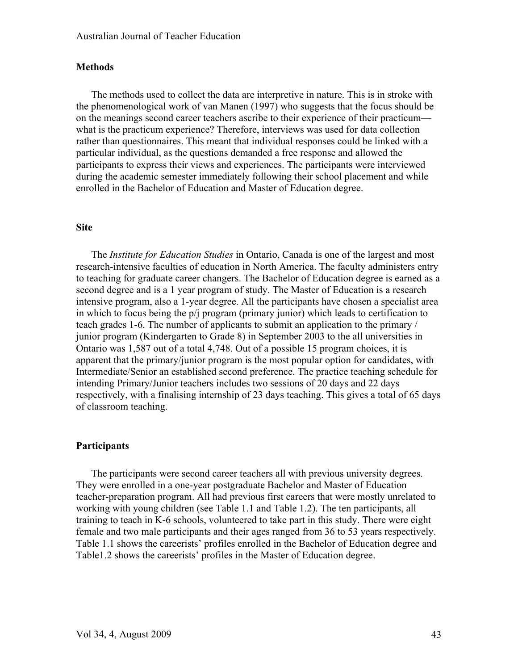#### **Methods**

The methods used to collect the data are interpretive in nature. This is in stroke with the phenomenological work of van Manen (1997) who suggests that the focus should be on the meanings second career teachers ascribe to their experience of their practicum what is the practicum experience? Therefore, interviews was used for data collection rather than questionnaires. This meant that individual responses could be linked with a particular individual, as the questions demanded a free response and allowed the participants to express their views and experiences. The participants were interviewed during the academic semester immediately following their school placement and while enrolled in the Bachelor of Education and Master of Education degree.

#### **Site**

The *Institute for Education Studies* in Ontario, Canada is one of the largest and most research-intensive faculties of education in North America. The faculty administers entry to teaching for graduate career changers. The Bachelor of Education degree is earned as a second degree and is a 1 year program of study. The Master of Education is a research intensive program, also a 1-year degree. All the participants have chosen a specialist area in which to focus being the p/j program (primary junior) which leads to certification to teach grades 1-6. The number of applicants to submit an application to the primary / junior program (Kindergarten to Grade 8) in September 2003 to the all universities in Ontario was 1,587 out of a total 4,748. Out of a possible 15 program choices, it is apparent that the primary/junior program is the most popular option for candidates, with Intermediate/Senior an established second preference. The practice teaching schedule for intending Primary/Junior teachers includes two sessions of 20 days and 22 days respectively, with a finalising internship of 23 days teaching. This gives a total of 65 days of classroom teaching.

#### **Participants**

The participants were second career teachers all with previous university degrees. They were enrolled in a one-year postgraduate Bachelor and Master of Education teacher-preparation program. All had previous first careers that were mostly unrelated to working with young children (see Table 1.1 and Table 1.2). The ten participants, all training to teach in K-6 schools, volunteered to take part in this study. There were eight female and two male participants and their ages ranged from 36 to 53 years respectively. Table 1.1 shows the careerists' profiles enrolled in the Bachelor of Education degree and Table1.2 shows the careerists' profiles in the Master of Education degree.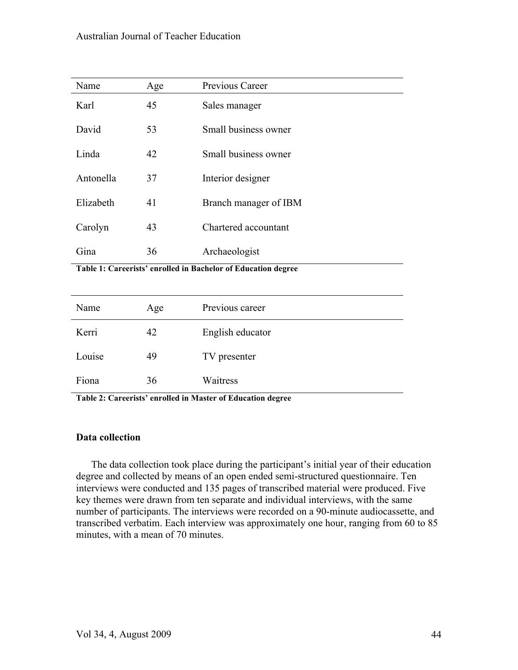## Australian Journal of Teacher Education

| Name      | Age | Previous Career       |
|-----------|-----|-----------------------|
| Karl      | 45  | Sales manager         |
| David     | 53  | Small business owner  |
| Linda     | 42  | Small business owner  |
| Antonella | 37  | Interior designer     |
| Elizabeth | 41  | Branch manager of IBM |
| Carolyn   | 43  | Chartered accountant  |
| Gina      | 36  | Archaeologist         |

**Table 1: Careerists' enrolled in Bachelor of Education degree**

| Name   | Age | Previous career  |
|--------|-----|------------------|
| Kerri  | 42  | English educator |
| Louise | 49  | TV presenter     |
| Fiona  | 36  | Waitress         |

**Table 2: Careerists' enrolled in Master of Education degree**

#### **Data collection**

The data collection took place during the participant's initial year of their education degree and collected by means of an open ended semi-structured questionnaire. Ten interviews were conducted and 135 pages of transcribed material were produced. Five key themes were drawn from ten separate and individual interviews, with the same number of participants. The interviews were recorded on a 90-minute audiocassette, and transcribed verbatim. Each interview was approximately one hour, ranging from 60 to 85 minutes, with a mean of 70 minutes.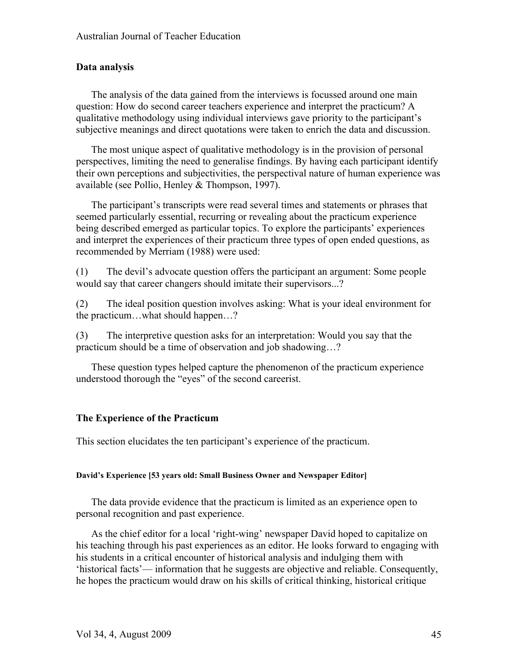### **Data analysis**

The analysis of the data gained from the interviews is focussed around one main question: How do second career teachers experience and interpret the practicum? A qualitative methodology using individual interviews gave priority to the participant's subjective meanings and direct quotations were taken to enrich the data and discussion.

The most unique aspect of qualitative methodology is in the provision of personal perspectives, limiting the need to generalise findings. By having each participant identify their own perceptions and subjectivities, the perspectival nature of human experience was available (see Pollio, Henley & Thompson, 1997).

The participant's transcripts were read several times and statements or phrases that seemed particularly essential, recurring or revealing about the practicum experience being described emerged as particular topics. To explore the participants' experiences and interpret the experiences of their practicum three types of open ended questions, as recommended by Merriam (1988) were used:

(1) The devil's advocate question offers the participant an argument: Some people would say that career changers should imitate their supervisors...?

(2) The ideal position question involves asking: What is your ideal environment for the practicum…what should happen…?

(3) The interpretive question asks for an interpretation: Would you say that the practicum should be a time of observation and job shadowing…?

These question types helped capture the phenomenon of the practicum experience understood thorough the "eyes" of the second careerist.

## **The Experience of the Practicum**

This section elucidates the ten participant's experience of the practicum.

#### **David's Experience [53 years old: Small Business Owner and Newspaper Editor]**

The data provide evidence that the practicum is limited as an experience open to personal recognition and past experience.

As the chief editor for a local 'right-wing' newspaper David hoped to capitalize on his teaching through his past experiences as an editor. He looks forward to engaging with his students in a critical encounter of historical analysis and indulging them with 'historical facts'— information that he suggests are objective and reliable. Consequently, he hopes the practicum would draw on his skills of critical thinking, historical critique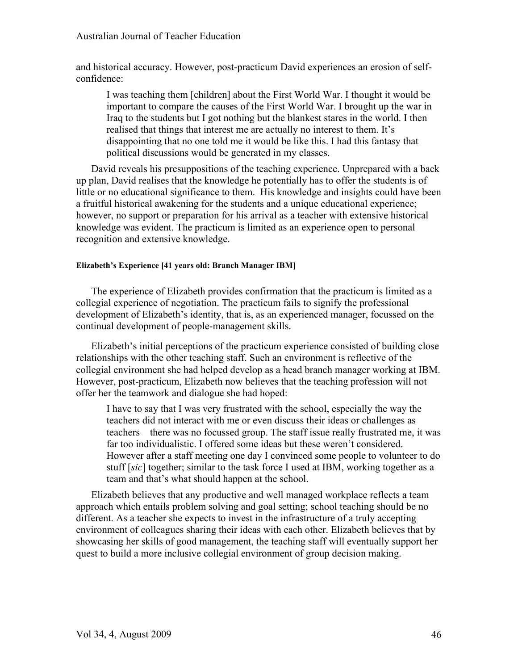and historical accuracy. However, post-practicum David experiences an erosion of selfconfidence:

I was teaching them [children] about the First World War. I thought it would be important to compare the causes of the First World War. I brought up the war in Iraq to the students but I got nothing but the blankest stares in the world. I then realised that things that interest me are actually no interest to them. It's disappointing that no one told me it would be like this. I had this fantasy that political discussions would be generated in my classes.

David reveals his presuppositions of the teaching experience. Unprepared with a back up plan, David realises that the knowledge he potentially has to offer the students is of little or no educational significance to them. His knowledge and insights could have been a fruitful historical awakening for the students and a unique educational experience; however, no support or preparation for his arrival as a teacher with extensive historical knowledge was evident. The practicum is limited as an experience open to personal recognition and extensive knowledge.

#### **Elizabeth's Experience [41 years old: Branch Manager IBM]**

The experience of Elizabeth provides confirmation that the practicum is limited as a collegial experience of negotiation. The practicum fails to signify the professional development of Elizabeth's identity, that is, as an experienced manager, focussed on the continual development of people-management skills.

Elizabeth's initial perceptions of the practicum experience consisted of building close relationships with the other teaching staff. Such an environment is reflective of the collegial environment she had helped develop as a head branch manager working at IBM. However, post-practicum, Elizabeth now believes that the teaching profession will not offer her the teamwork and dialogue she had hoped:

I have to say that I was very frustrated with the school, especially the way the teachers did not interact with me or even discuss their ideas or challenges as teachers—there was no focussed group. The staff issue really frustrated me, it was far too individualistic. I offered some ideas but these weren't considered. However after a staff meeting one day I convinced some people to volunteer to do stuff [*sic*] together; similar to the task force I used at IBM, working together as a team and that's what should happen at the school.

Elizabeth believes that any productive and well managed workplace reflects a team approach which entails problem solving and goal setting; school teaching should be no different. As a teacher she expects to invest in the infrastructure of a truly accepting environment of colleagues sharing their ideas with each other. Elizabeth believes that by showcasing her skills of good management, the teaching staff will eventually support her quest to build a more inclusive collegial environment of group decision making.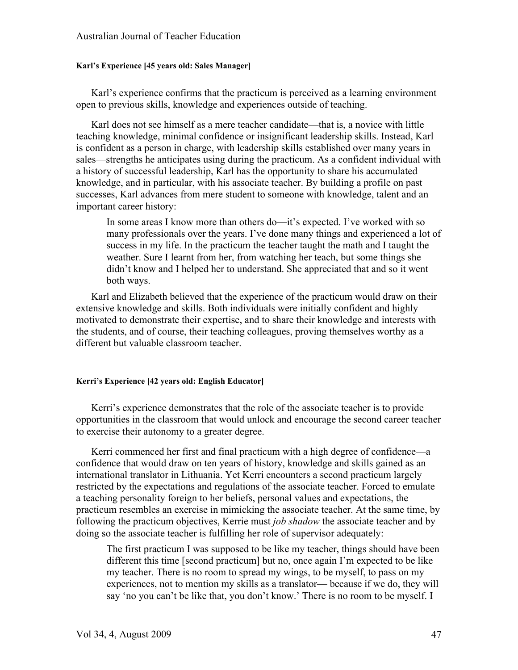#### **Karl's Experience [45 years old: Sales Manager]**

Karl's experience confirms that the practicum is perceived as a learning environment open to previous skills, knowledge and experiences outside of teaching.

Karl does not see himself as a mere teacher candidate—that is, a novice with little teaching knowledge, minimal confidence or insignificant leadership skills. Instead, Karl is confident as a person in charge, with leadership skills established over many years in sales—strengths he anticipates using during the practicum. As a confident individual with a history of successful leadership, Karl has the opportunity to share his accumulated knowledge, and in particular, with his associate teacher. By building a profile on past successes, Karl advances from mere student to someone with knowledge, talent and an important career history:

In some areas I know more than others do—it's expected. I've worked with so many professionals over the years. I've done many things and experienced a lot of success in my life. In the practicum the teacher taught the math and I taught the weather. Sure I learnt from her, from watching her teach, but some things she didn't know and I helped her to understand. She appreciated that and so it went both ways.

Karl and Elizabeth believed that the experience of the practicum would draw on their extensive knowledge and skills. Both individuals were initially confident and highly motivated to demonstrate their expertise, and to share their knowledge and interests with the students, and of course, their teaching colleagues, proving themselves worthy as a different but valuable classroom teacher.

#### **Kerri's Experience [42 years old: English Educator]**

Kerri's experience demonstrates that the role of the associate teacher is to provide opportunities in the classroom that would unlock and encourage the second career teacher to exercise their autonomy to a greater degree.

Kerri commenced her first and final practicum with a high degree of confidence—a confidence that would draw on ten years of history, knowledge and skills gained as an international translator in Lithuania. Yet Kerri encounters a second practicum largely restricted by the expectations and regulations of the associate teacher. Forced to emulate a teaching personality foreign to her beliefs, personal values and expectations, the practicum resembles an exercise in mimicking the associate teacher. At the same time, by following the practicum objectives, Kerrie must *job shadow* the associate teacher and by doing so the associate teacher is fulfilling her role of supervisor adequately:

The first practicum I was supposed to be like my teacher, things should have been different this time [second practicum] but no, once again I'm expected to be like my teacher. There is no room to spread my wings, to be myself, to pass on my experiences, not to mention my skills as a translator— because if we do, they will say 'no you can't be like that, you don't know.' There is no room to be myself. I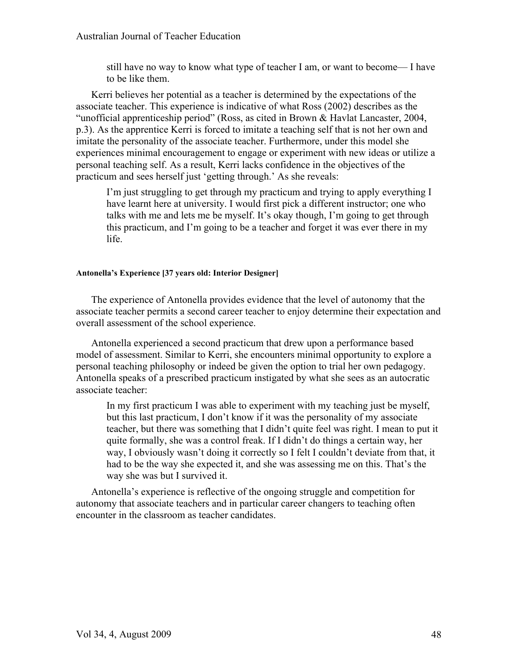#### Australian Journal of Teacher Education

still have no way to know what type of teacher I am, or want to become— I have to be like them.

Kerri believes her potential as a teacher is determined by the expectations of the associate teacher. This experience is indicative of what Ross (2002) describes as the "unofficial apprenticeship period" (Ross, as cited in Brown & Havlat Lancaster, 2004, p.3). As the apprentice Kerri is forced to imitate a teaching self that is not her own and imitate the personality of the associate teacher. Furthermore, under this model she experiences minimal encouragement to engage or experiment with new ideas or utilize a personal teaching self. As a result, Kerri lacks confidence in the objectives of the practicum and sees herself just 'getting through.' As she reveals:

I'm just struggling to get through my practicum and trying to apply everything I have learnt here at university. I would first pick a different instructor; one who talks with me and lets me be myself. It's okay though, I'm going to get through this practicum, and I'm going to be a teacher and forget it was ever there in my life.

#### **Antonella's Experience [37 years old: Interior Designer]**

The experience of Antonella provides evidence that the level of autonomy that the associate teacher permits a second career teacher to enjoy determine their expectation and overall assessment of the school experience.

Antonella experienced a second practicum that drew upon a performance based model of assessment. Similar to Kerri, she encounters minimal opportunity to explore a personal teaching philosophy or indeed be given the option to trial her own pedagogy. Antonella speaks of a prescribed practicum instigated by what she sees as an autocratic associate teacher:

In my first practicum I was able to experiment with my teaching just be myself, but this last practicum, I don't know if it was the personality of my associate teacher, but there was something that I didn't quite feel was right. I mean to put it quite formally, she was a control freak. If I didn't do things a certain way, her way, I obviously wasn't doing it correctly so I felt I couldn't deviate from that, it had to be the way she expected it, and she was assessing me on this. That's the way she was but I survived it.

Antonella's experience is reflective of the ongoing struggle and competition for autonomy that associate teachers and in particular career changers to teaching often encounter in the classroom as teacher candidates.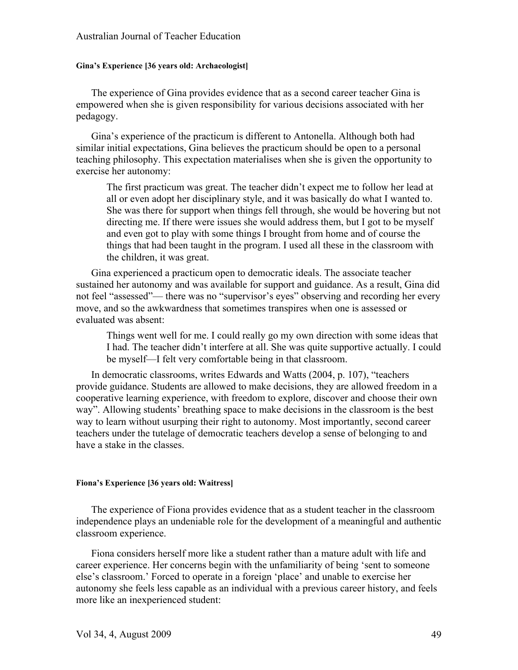#### **Gina's Experience [36 years old: Archaeologist]**

The experience of Gina provides evidence that as a second career teacher Gina is empowered when she is given responsibility for various decisions associated with her pedagogy.

Gina's experience of the practicum is different to Antonella. Although both had similar initial expectations, Gina believes the practicum should be open to a personal teaching philosophy. This expectation materialises when she is given the opportunity to exercise her autonomy:

The first practicum was great. The teacher didn't expect me to follow her lead at all or even adopt her disciplinary style, and it was basically do what I wanted to. She was there for support when things fell through, she would be hovering but not directing me. If there were issues she would address them, but I got to be myself and even got to play with some things I brought from home and of course the things that had been taught in the program. I used all these in the classroom with the children, it was great.

Gina experienced a practicum open to democratic ideals. The associate teacher sustained her autonomy and was available for support and guidance. As a result, Gina did not feel "assessed"— there was no "supervisor's eyes" observing and recording her every move, and so the awkwardness that sometimes transpires when one is assessed or evaluated was absent:

Things went well for me. I could really go my own direction with some ideas that I had. The teacher didn't interfere at all. She was quite supportive actually. I could be myself—I felt very comfortable being in that classroom.

In democratic classrooms, writes Edwards and Watts (2004, p. 107), "teachers provide guidance. Students are allowed to make decisions, they are allowed freedom in a cooperative learning experience, with freedom to explore, discover and choose their own way". Allowing students' breathing space to make decisions in the classroom is the best way to learn without usurping their right to autonomy. Most importantly, second career teachers under the tutelage of democratic teachers develop a sense of belonging to and have a stake in the classes.

#### **Fiona's Experience [36 years old: Waitress]**

The experience of Fiona provides evidence that as a student teacher in the classroom independence plays an undeniable role for the development of a meaningful and authentic classroom experience.

Fiona considers herself more like a student rather than a mature adult with life and career experience. Her concerns begin with the unfamiliarity of being 'sent to someone else's classroom.' Forced to operate in a foreign 'place' and unable to exercise her autonomy she feels less capable as an individual with a previous career history, and feels more like an inexperienced student: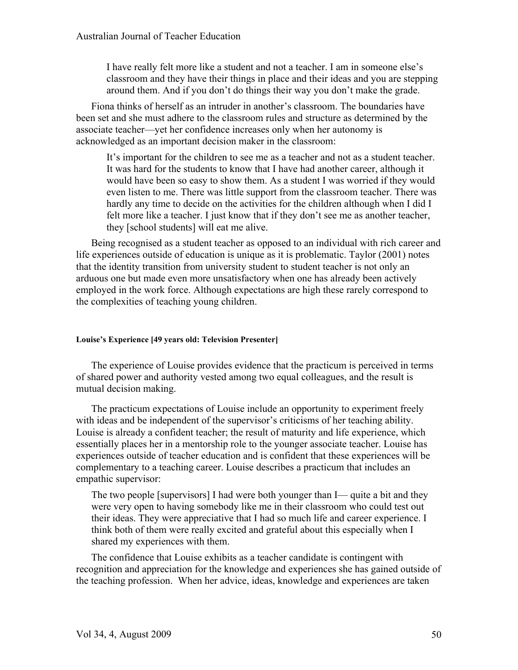I have really felt more like a student and not a teacher. I am in someone else's classroom and they have their things in place and their ideas and you are stepping around them. And if you don't do things their way you don't make the grade.

Fiona thinks of herself as an intruder in another's classroom. The boundaries have been set and she must adhere to the classroom rules and structure as determined by the associate teacher—yet her confidence increases only when her autonomy is acknowledged as an important decision maker in the classroom:

It's important for the children to see me as a teacher and not as a student teacher. It was hard for the students to know that I have had another career, although it would have been so easy to show them. As a student I was worried if they would even listen to me. There was little support from the classroom teacher. There was hardly any time to decide on the activities for the children although when I did I felt more like a teacher. I just know that if they don't see me as another teacher, they [school students] will eat me alive.

Being recognised as a student teacher as opposed to an individual with rich career and life experiences outside of education is unique as it is problematic. Taylor (2001) notes that the identity transition from university student to student teacher is not only an arduous one but made even more unsatisfactory when one has already been actively employed in the work force. Although expectations are high these rarely correspond to the complexities of teaching young children.

#### **Louise's Experience [49 years old: Television Presenter]**

The experience of Louise provides evidence that the practicum is perceived in terms of shared power and authority vested among two equal colleagues, and the result is mutual decision making.

The practicum expectations of Louise include an opportunity to experiment freely with ideas and be independent of the supervisor's criticisms of her teaching ability. Louise is already a confident teacher; the result of maturity and life experience, which essentially places her in a mentorship role to the younger associate teacher. Louise has experiences outside of teacher education and is confident that these experiences will be complementary to a teaching career. Louise describes a practicum that includes an empathic supervisor:

The two people [supervisors] I had were both younger than I— quite a bit and they were very open to having somebody like me in their classroom who could test out their ideas. They were appreciative that I had so much life and career experience. I think both of them were really excited and grateful about this especially when I shared my experiences with them.

The confidence that Louise exhibits as a teacher candidate is contingent with recognition and appreciation for the knowledge and experiences she has gained outside of the teaching profession. When her advice, ideas, knowledge and experiences are taken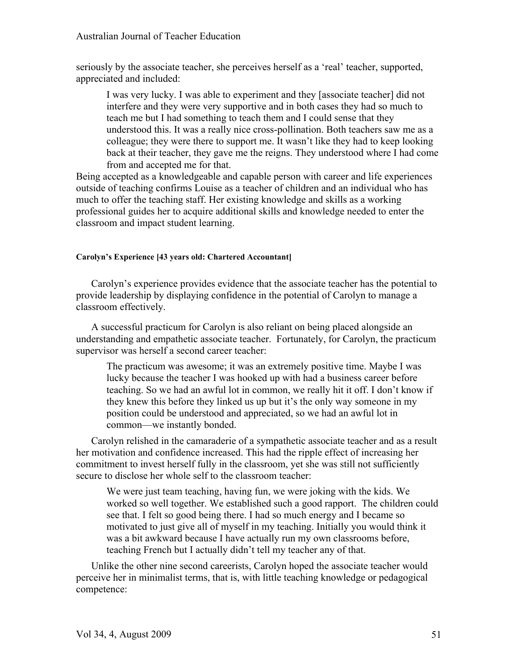#### Australian Journal of Teacher Education

seriously by the associate teacher, she perceives herself as a 'real' teacher, supported, appreciated and included:

I was very lucky. I was able to experiment and they [associate teacher] did not interfere and they were very supportive and in both cases they had so much to teach me but I had something to teach them and I could sense that they understood this. It was a really nice cross-pollination. Both teachers saw me as a colleague; they were there to support me. It wasn't like they had to keep looking back at their teacher, they gave me the reigns. They understood where I had come from and accepted me for that.

Being accepted as a knowledgeable and capable person with career and life experiences outside of teaching confirms Louise as a teacher of children and an individual who has much to offer the teaching staff. Her existing knowledge and skills as a working professional guides her to acquire additional skills and knowledge needed to enter the classroom and impact student learning.

#### **Carolyn's Experience [43 years old: Chartered Accountant]**

Carolyn's experience provides evidence that the associate teacher has the potential to provide leadership by displaying confidence in the potential of Carolyn to manage a classroom effectively.

A successful practicum for Carolyn is also reliant on being placed alongside an understanding and empathetic associate teacher. Fortunately, for Carolyn, the practicum supervisor was herself a second career teacher:

The practicum was awesome; it was an extremely positive time. Maybe I was lucky because the teacher I was hooked up with had a business career before teaching. So we had an awful lot in common, we really hit it off. I don't know if they knew this before they linked us up but it's the only way someone in my position could be understood and appreciated, so we had an awful lot in common—we instantly bonded.

Carolyn relished in the camaraderie of a sympathetic associate teacher and as a result her motivation and confidence increased. This had the ripple effect of increasing her commitment to invest herself fully in the classroom, yet she was still not sufficiently secure to disclose her whole self to the classroom teacher:

We were just team teaching, having fun, we were joking with the kids. We worked so well together. We established such a good rapport. The children could see that. I felt so good being there. I had so much energy and I became so motivated to just give all of myself in my teaching. Initially you would think it was a bit awkward because I have actually run my own classrooms before, teaching French but I actually didn't tell my teacher any of that.

Unlike the other nine second careerists, Carolyn hoped the associate teacher would perceive her in minimalist terms, that is, with little teaching knowledge or pedagogical competence: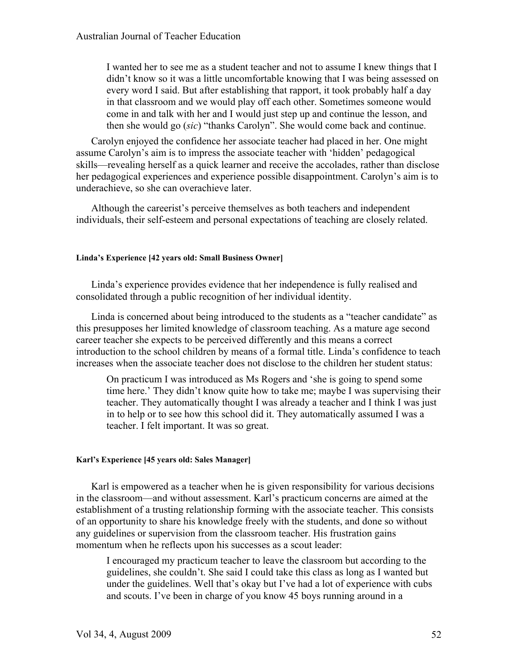I wanted her to see me as a student teacher and not to assume I knew things that I didn't know so it was a little uncomfortable knowing that I was being assessed on every word I said. But after establishing that rapport, it took probably half a day in that classroom and we would play off each other. Sometimes someone would come in and talk with her and I would just step up and continue the lesson, and then she would go (*sic*) "thanks Carolyn". She would come back and continue.

Carolyn enjoyed the confidence her associate teacher had placed in her. One might assume Carolyn's aim is to impress the associate teacher with 'hidden' pedagogical skills—revealing herself as a quick learner and receive the accolades, rather than disclose her pedagogical experiences and experience possible disappointment. Carolyn's aim is to underachieve, so she can overachieve later.

Although the careerist's perceive themselves as both teachers and independent individuals, their self-esteem and personal expectations of teaching are closely related.

#### **Linda's Experience [42 years old: Small Business Owner]**

Linda's experience provides evidence that her independence is fully realised and consolidated through a public recognition of her individual identity.

Linda is concerned about being introduced to the students as a "teacher candidate" as this presupposes her limited knowledge of classroom teaching. As a mature age second career teacher she expects to be perceived differently and this means a correct introduction to the school children by means of a formal title. Linda's confidence to teach increases when the associate teacher does not disclose to the children her student status:

On practicum I was introduced as Ms Rogers and 'she is going to spend some time here.' They didn't know quite how to take me; maybe I was supervising their teacher. They automatically thought I was already a teacher and I think I was just in to help or to see how this school did it. They automatically assumed I was a teacher. I felt important. It was so great.

#### **Karl's Experience [45 years old: Sales Manager]**

Karl is empowered as a teacher when he is given responsibility for various decisions in the classroom—and without assessment. Karl's practicum concerns are aimed at the establishment of a trusting relationship forming with the associate teacher. This consists of an opportunity to share his knowledge freely with the students, and done so without any guidelines or supervision from the classroom teacher. His frustration gains momentum when he reflects upon his successes as a scout leader:

I encouraged my practicum teacher to leave the classroom but according to the guidelines, she couldn't. She said I could take this class as long as I wanted but under the guidelines. Well that's okay but I've had a lot of experience with cubs and scouts. I've been in charge of you know 45 boys running around in a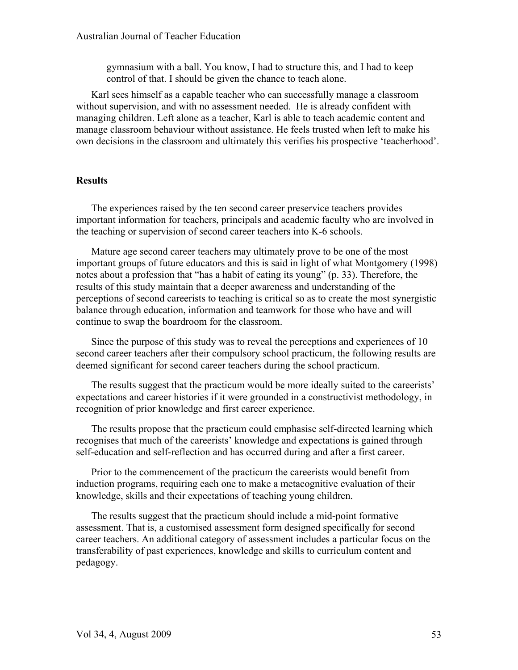gymnasium with a ball. You know, I had to structure this, and I had to keep control of that. I should be given the chance to teach alone.

Karl sees himself as a capable teacher who can successfully manage a classroom without supervision, and with no assessment needed. He is already confident with managing children. Left alone as a teacher, Karl is able to teach academic content and manage classroom behaviour without assistance. He feels trusted when left to make his own decisions in the classroom and ultimately this verifies his prospective 'teacherhood'.

#### **Results**

The experiences raised by the ten second career preservice teachers provides important information for teachers, principals and academic faculty who are involved in the teaching or supervision of second career teachers into K-6 schools.

Mature age second career teachers may ultimately prove to be one of the most important groups of future educators and this is said in light of what Montgomery (1998) notes about a profession that "has a habit of eating its young" (p. 33). Therefore, the results of this study maintain that a deeper awareness and understanding of the perceptions of second careerists to teaching is critical so as to create the most synergistic balance through education, information and teamwork for those who have and will continue to swap the boardroom for the classroom.

Since the purpose of this study was to reveal the perceptions and experiences of 10 second career teachers after their compulsory school practicum, the following results are deemed significant for second career teachers during the school practicum.

The results suggest that the practicum would be more ideally suited to the careerists' expectations and career histories if it were grounded in a constructivist methodology, in recognition of prior knowledge and first career experience.

The results propose that the practicum could emphasise self-directed learning which recognises that much of the careerists' knowledge and expectations is gained through self-education and self-reflection and has occurred during and after a first career.

Prior to the commencement of the practicum the careerists would benefit from induction programs, requiring each one to make a metacognitive evaluation of their knowledge, skills and their expectations of teaching young children.

The results suggest that the practicum should include a mid-point formative assessment. That is, a customised assessment form designed specifically for second career teachers. An additional category of assessment includes a particular focus on the transferability of past experiences, knowledge and skills to curriculum content and pedagogy.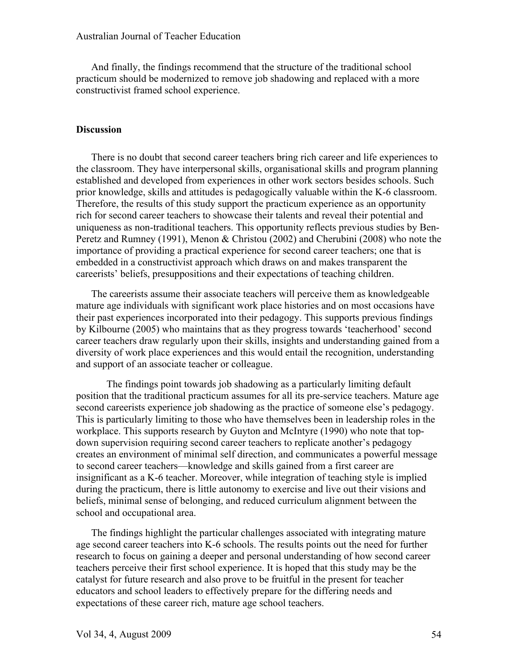And finally, the findings recommend that the structure of the traditional school practicum should be modernized to remove job shadowing and replaced with a more constructivist framed school experience.

#### **Discussion**

There is no doubt that second career teachers bring rich career and life experiences to the classroom. They have interpersonal skills, organisational skills and program planning established and developed from experiences in other work sectors besides schools. Such prior knowledge, skills and attitudes is pedagogically valuable within the K-6 classroom. Therefore, the results of this study support the practicum experience as an opportunity rich for second career teachers to showcase their talents and reveal their potential and uniqueness as non-traditional teachers. This opportunity reflects previous studies by Ben-Peretz and Rumney (1991), Menon & Christou (2002) and Cherubini (2008) who note the importance of providing a practical experience for second career teachers; one that is embedded in a constructivist approach which draws on and makes transparent the careerists' beliefs, presuppositions and their expectations of teaching children.

The careerists assume their associate teachers will perceive them as knowledgeable mature age individuals with significant work place histories and on most occasions have their past experiences incorporated into their pedagogy. This supports previous findings by Kilbourne (2005) who maintains that as they progress towards 'teacherhood' second career teachers draw regularly upon their skills, insights and understanding gained from a diversity of work place experiences and this would entail the recognition, understanding and support of an associate teacher or colleague.

The findings point towards job shadowing as a particularly limiting default position that the traditional practicum assumes for all its pre-service teachers. Mature age second careerists experience job shadowing as the practice of someone else's pedagogy. This is particularly limiting to those who have themselves been in leadership roles in the workplace. This supports research by Guyton and McIntyre (1990) who note that topdown supervision requiring second career teachers to replicate another's pedagogy creates an environment of minimal self direction, and communicates a powerful message to second career teachers—knowledge and skills gained from a first career are insignificant as a K-6 teacher. Moreover, while integration of teaching style is implied during the practicum, there is little autonomy to exercise and live out their visions and beliefs, minimal sense of belonging, and reduced curriculum alignment between the school and occupational area.

The findings highlight the particular challenges associated with integrating mature age second career teachers into K-6 schools. The results points out the need for further research to focus on gaining a deeper and personal understanding of how second career teachers perceive their first school experience. It is hoped that this study may be the catalyst for future research and also prove to be fruitful in the present for teacher educators and school leaders to effectively prepare for the differing needs and expectations of these career rich, mature age school teachers.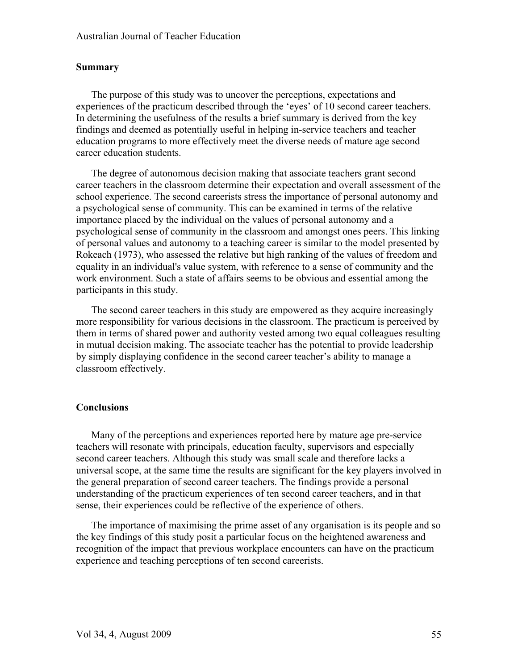#### **Summary**

The purpose of this study was to uncover the perceptions, expectations and experiences of the practicum described through the 'eyes' of 10 second career teachers. In determining the usefulness of the results a brief summary is derived from the key findings and deemed as potentially useful in helping in-service teachers and teacher education programs to more effectively meet the diverse needs of mature age second career education students.

The degree of autonomous decision making that associate teachers grant second career teachers in the classroom determine their expectation and overall assessment of the school experience. The second careerists stress the importance of personal autonomy and a psychological sense of community. This can be examined in terms of the relative importance placed by the individual on the values of personal autonomy and a psychological sense of community in the classroom and amongst ones peers. This linking of personal values and autonomy to a teaching career is similar to the model presented by Rokeach (1973), who assessed the relative but high ranking of the values of freedom and equality in an individual's value system, with reference to a sense of community and the work environment. Such a state of affairs seems to be obvious and essential among the participants in this study.

The second career teachers in this study are empowered as they acquire increasingly more responsibility for various decisions in the classroom. The practicum is perceived by them in terms of shared power and authority vested among two equal colleagues resulting in mutual decision making. The associate teacher has the potential to provide leadership by simply displaying confidence in the second career teacher's ability to manage a classroom effectively.

#### **Conclusions**

Many of the perceptions and experiences reported here by mature age pre-service teachers will resonate with principals, education faculty, supervisors and especially second career teachers. Although this study was small scale and therefore lacks a universal scope, at the same time the results are significant for the key players involved in the general preparation of second career teachers. The findings provide a personal understanding of the practicum experiences of ten second career teachers, and in that sense, their experiences could be reflective of the experience of others.

The importance of maximising the prime asset of any organisation is its people and so the key findings of this study posit a particular focus on the heightened awareness and recognition of the impact that previous workplace encounters can have on the practicum experience and teaching perceptions of ten second careerists.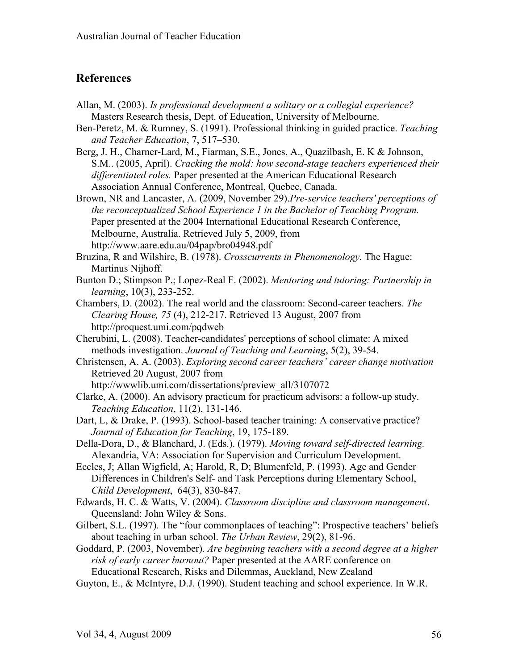## **References**

- Allan, M. (2003). *Is professional development a solitary or a collegial experience?* Masters Research thesis, Dept. of Education, University of Melbourne.
- Ben-Peretz, M. & Rumney, S. (1991). Professional thinking in guided practice. *Teaching and Teacher Education*, 7, 517–530.
- Berg, J. H., Charner-Lard, M., Fiarman, S.E., Jones, A., Quazilbash, E. K & Johnson, S.M.. (2005, April). *Cracking the mold: how second-stage teachers experienced their differentiated roles.* Paper presented at the American Educational Research Association Annual Conference, Montreal, Quebec, Canada.
- Brown, NR and Lancaster, A. (2009, November 29).*Pre-service teachers' perceptions of the reconceptualized School Experience 1 in the Bachelor of Teaching Program.*  Paper presented at the 2004 International Educational Research Conference, Melbourne, Australia. Retrieved July 5, 2009, from http://www.aare.edu.au/04pap/bro04948.pdf
- Bruzina, R and Wilshire, B. (1978). *Crosscurrents in Phenomenology.* The Hague: Martinus Nijhoff.
- Bunton D.; Stimpson P.; Lopez-Real F. (2002). *Mentoring and tutoring: Partnership in learning*, 10(3), 233-252.
- Chambers, D. (2002). The real world and the classroom: Second-career teachers. *The Clearing House, 75* (4), 212-217. Retrieved 13 August, 2007 from http://proquest.umi.com/pqdweb
- Cherubini, L. (2008). Teacher-candidates' perceptions of school climate: A mixed methods investigation. *Journal of Teaching and Learning*, 5(2), 39-54.
- Christensen, A. A. (2003). *Exploring second career teachers' career change motivation* Retrieved 20 August, 2007 from
	- http://wwwlib.umi.com/dissertations/preview\_all/3107072
- Clarke, A. (2000). An advisory practicum for practicum advisors: a follow-up study. *Teaching Education*, 11(2), 131-146.
- Dart, L, & Drake, P. (1993). School-based teacher training: A conservative practice? *Journal of Education for Teaching*, 19, 175-189.
- Della-Dora, D., & Blanchard, J. (Eds.). (1979). *Moving toward self-directed learning.* Alexandria, VA: Association for Supervision and Curriculum Development.
- Eccles, J; Allan Wigfield, A; Harold, R, D; Blumenfeld, P. (1993). Age and Gender Differences in Children's Self- and Task Perceptions during Elementary School, *Child Development*, 64(3), 830-847.
- Edwards, H. C. & Watts, V. (2004). *Classroom discipline and classroom management*. Queensland: John Wiley & Sons.
- Gilbert, S.L. (1997). The "four commonplaces of teaching": Prospective teachers' beliefs about teaching in urban school. *The Urban Review*, 29(2), 81-96.
- Goddard, P. (2003, November). *Are beginning teachers with a second degree at a higher risk of early career burnout?* Paper presented at the AARE conference on Educational Research, Risks and Dilemmas, Auckland, New Zealand
- Guyton, E., & McIntyre, D.J. (1990). Student teaching and school experience. In W.R.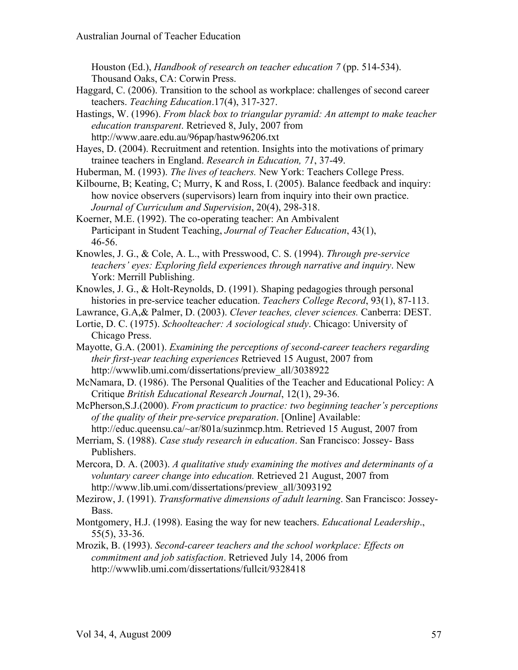Houston (Ed.), *Handbook of research on teacher education 7* (pp. 514-534). Thousand Oaks, CA: Corwin Press.

Haggard, C. (2006). Transition to the school as workplace: challenges of second career teachers. *Teaching Education*.17(4), 317-327.

Hastings, W. (1996). *From black box to triangular pyramid: An attempt to make teacher education transparent*. Retrieved 8, July, 2007 from http://www.aare.edu.au/96pap/hastw96206.txt

Hayes, D. (2004). Recruitment and retention. Insights into the motivations of primary trainee teachers in England. *Research in Education, 71*, 37-49.

Huberman, M. (1993). *The lives of teachers.* New York: Teachers College Press.

Kilbourne, B; Keating, C; Murry, K and Ross, I. (2005). Balance feedback and inquiry: how novice observers (supervisors) learn from inquiry into their own practice. *Journal of Curriculum and Supervision*, 20(4), 298-318.

Koerner, M.E. (1992). The co-operating teacher: An Ambivalent Participant in Student Teaching, *Journal of Teacher Education*, 43(1), 46-56.

Knowles, J. G., & Cole, A. L., with Presswood, C. S. (1994). *Through pre-service teachers' eyes: Exploring field experiences through narrative and inquiry*. New York: Merrill Publishing.

Knowles, J. G., & Holt-Reynolds, D. (1991). Shaping pedagogies through personal histories in pre-service teacher education. *Teachers College Record*, 93(1), 87-113.

Lawrance, G.A,& Palmer, D. (2003). *Clever teaches, clever sciences.* Canberra: DEST.

Lortie, D. C. (1975). *Schoolteacher: A sociological study*. Chicago: University of Chicago Press.

Mayotte, G.A. (2001). *Examining the perceptions of second-career teachers regarding their first-year teaching experiences* Retrieved 15 August, 2007 from http://wwwlib.umi.com/dissertations/preview\_all/3038922

McNamara, D. (1986). The Personal Qualities of the Teacher and Educational Policy: A Critique *British Educational Research Journal*, 12(1), 29-36.

McPherson,S.J.(2000). *From practicum to practice: two beginning teacher's perceptions of the quality of their pre-service preparation*. [Online] Available:

http://educ.queensu.ca/~ar/801a/suzinmcp.htm. Retrieved 15 August, 2007 from Merriam, S. (1988). *Case study research in education*. San Francisco: Jossey- Bass Publishers.

Mercora, D. A. (2003). *A qualitative study examining the motives and determinants of a voluntary career change into education.* Retrieved 21 August, 2007 from http://www.lib.umi.com/dissertations/preview\_all/3093192

Mezirow, J. (1991). *Transformative dimensions of adult learning*. San Francisco: Jossey-Bass.

Montgomery, H.J. (1998). Easing the way for new teachers. *Educational Leadership*., 55(5), 33-36.

Mrozik, B. (1993). *Second-career teachers and the school workplace: Effects on commitment and job satisfaction*. Retrieved July 14, 2006 from http://wwwlib.umi.com/dissertations/fullcit/9328418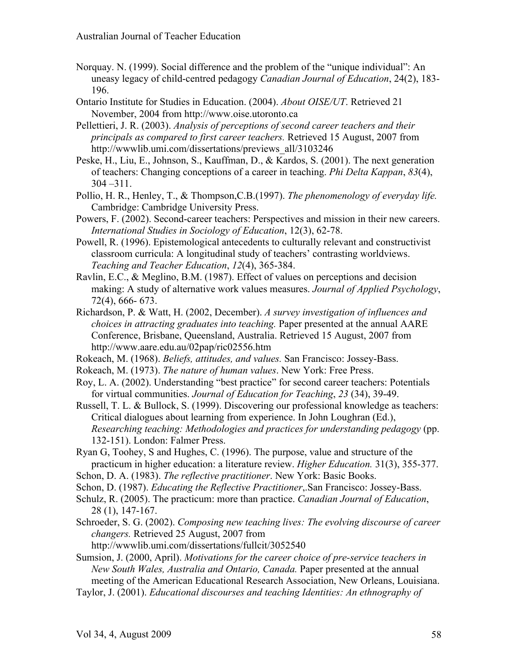- Norquay. N. (1999). Social difference and the problem of the "unique individual": An uneasy legacy of child-centred pedagogy *Canadian Journal of Education*, 24(2), 183- 196.
- Ontario Institute for Studies in Education. (2004). *About OISE/UT*. Retrieved 21 November, 2004 from http://www.oise.utoronto.ca
- Pellettieri, J. R. (2003). *Analysis of perceptions of second career teachers and their principals as compared to first career teachers.* Retrieved 15 August, 2007 from http://wwwlib.umi.com/dissertations/previews\_all/3103246
- Peske, H., Liu, E., Johnson, S., Kauffman, D., & Kardos, S. (2001). The next generation of teachers: Changing conceptions of a career in teaching. *Phi Delta Kappan*, *83*(4), 304 –311.
- Pollio, H. R., Henley, T., & Thompson,C.B.(1997). *The phenomenology of everyday life.* Cambridge: Cambridge University Press.
- Powers, F. (2002). Second-career teachers: Perspectives and mission in their new careers. *International Studies in Sociology of Education*, 12(3), 62-78.
- Powell, R. (1996). Epistemological antecedents to culturally relevant and constructivist classroom curricula: A longitudinal study of teachers' contrasting worldviews. *Teaching and Teacher Education*, *12*(4), 365-384.
- Ravlin, E.C., & Meglino, B.M. (1987). Effect of values on perceptions and decision making: A study of alternative work values measures. *Journal of Applied Psychology*, 72(4), 666- 673.
- Richardson, P. & Watt, H. (2002, December). *A survey investigation of influences and choices in attracting graduates into teaching.* Paper presented at the annual AARE Conference, Brisbane, Queensland, Australia. Retrieved 15 August, 2007 from http://www.aare.edu.au/02pap/ric02556.htm
- Rokeach, M. (1968). *Beliefs, attitudes, and values.* San Francisco: Jossey-Bass.
- Rokeach, M. (1973). *The nature of human values*. New York: Free Press.
- Roy, L. A. (2002). Understanding "best practice" for second career teachers: Potentials for virtual communities. *Journal of Education for Teaching*, *23* (34), 39-49.
- Russell, T. L. & Bullock, S. (1999). Discovering our professional knowledge as teachers: Critical dialogues about learning from experience. In John Loughran (Ed.), *Researching teaching: Methodologies and practices for understanding pedagogy* (pp. 132-151). London: Falmer Press.
- Ryan G, Toohey, S and Hughes, C. (1996). The purpose, value and structure of the practicum in higher education: a literature review. *Higher Education.* 31(3), 355-377.
- Schon, D. A. (1983). *The reflective practitioner*. New York: Basic Books.
- Schon, D. (1987). *Educating the Reflective Practitioner*,.San Francisco: Jossey-Bass.
- Schulz, R. (2005). The practicum: more than practice. *Canadian Journal of Education*, 28 (1), 147-167.
- Schroeder, S. G. (2002). *Composing new teaching lives: The evolving discourse of career changers.* Retrieved 25 August, 2007 from
- http://wwwlib.umi.com/dissertations/fullcit/3052540
- Sumsion, J. (2000, April). *Motivations for the career choice of pre-service teachers in New South Wales, Australia and Ontario, Canada.* Paper presented at the annual meeting of the American Educational Research Association, New Orleans, Louisiana.
- Taylor, J. (2001). *Educational discourses and teaching Identities: An ethnography of*